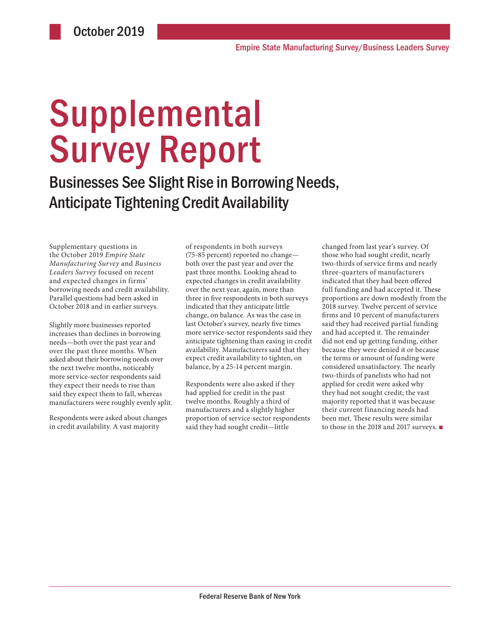# **Supplemental** Survey Report

Businesses See Slight Rise in Borrowing Needs, Anticipate Tightening Credit Availability

Supplementary questions in the October 2019 *Empire State Manufacturing Survey* and *Business Leaders Survey* focused on recent and expected changes in firms' borrowing needs and credit availability. Parallel questions had been asked in October 2018 and in earlier surveys.

Slightly more businesses reported increases than declines in borrowing needs—both over the past year and over the past three months. When asked about their borrowing needs over the next twelve months, noticeably more service-sector respondents said they expect their needs to rise than said they expect them to fall, whereas manufacturers were roughly evenly split.

Respondents were asked about changes in credit availability. A vast majority

of respondents in both surveys (75-85 percent) reported no change both over the past year and over the past three months. Looking ahead to expected changes in credit availability over the next year, again, more than three in five respondents in both surveys indicated that they anticipate little change, on balance. As was the case in last October's survey, nearly five times more service-sector respondents said they anticipate tightening than easing in credit availability. Manufacturers said that they expect credit availability to tighten, on balance, by a 25-14 percent margin.

Respondents were also asked if they had applied for credit in the past twelve months. Roughly a third of manufacturers and a slightly higher proportion of service-sector respondents said they had sought credit—little

changed from last year's survey. Of those who had sought credit, nearly two-thirds of service firms and nearly three-quarters of manufacturers indicated that they had been offered full funding and had accepted it. These proportions are down modestly from the 2018 survey. Twelve percent of service firms and 10 percent of manufacturers said they had received partial funding and had accepted it. The remainder did not end up getting funding, either because they were denied it or because the terms or amount of funding were considered unsatisfactory. The nearly two-thirds of panelists who had not applied for credit were asked why they had not sought credit; the vast majority reported that it was because their current financing needs had been met. These results were similar to those in the 2018 and 2017 surveys. ■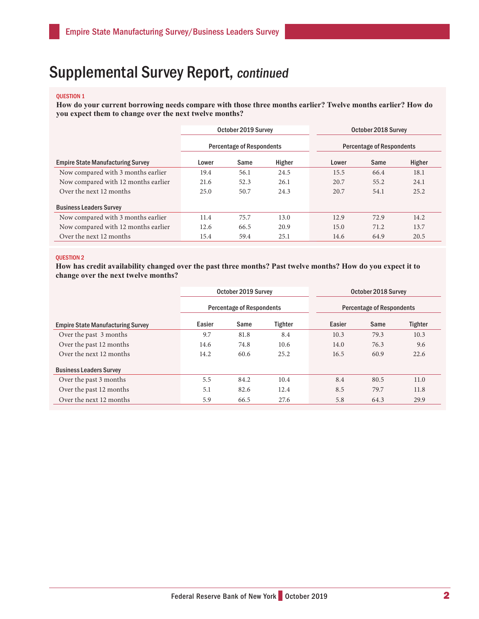## Supplemental Survey Report, continued

#### QUESTION 1

**How do your current borrowing needs compare with those three months earlier? Twelve months earlier? How do you expect them to change over the next twelve months?** 

|                                          | October 2019 Survey              |      |        | October 2018 Survey              |      |        |  |
|------------------------------------------|----------------------------------|------|--------|----------------------------------|------|--------|--|
|                                          | <b>Percentage of Respondents</b> |      |        | <b>Percentage of Respondents</b> |      |        |  |
| <b>Empire State Manufacturing Survey</b> | Lower                            | Same | Higher | Lower                            | Same | Higher |  |
| Now compared with 3 months earlier       | 19.4                             | 56.1 | 24.5   | 15.5                             | 66.4 | 18.1   |  |
| Now compared with 12 months earlier      | 21.6                             | 52.3 | 26.1   | 20.7                             | 55.2 | 24.1   |  |
| Over the next 12 months                  | 25.0                             | 50.7 | 24.3   | 20.7                             | 54.1 | 25.2   |  |
| <b>Business Leaders Survey</b>           |                                  |      |        |                                  |      |        |  |
| Now compared with 3 months earlier       | 11.4                             | 75.7 | 13.0   | 12.9                             | 72.9 | 14.2   |  |
| Now compared with 12 months earlier      | 12.6                             | 66.5 | 20.9   | 15.0                             | 71.2 | 13.7   |  |
| Over the next 12 months                  | 15.4                             | 59.4 | 25.1   | 14.6                             | 64.9 | 20.5   |  |

### QUESTION 2

**How has credit availability changed over the past three months? Past twelve months? How do you expect it to change over the next twelve months?** 

|                                          | October 2019 Survey |                                  |                | October 2018 Survey              |      |         |  |
|------------------------------------------|---------------------|----------------------------------|----------------|----------------------------------|------|---------|--|
|                                          |                     | <b>Percentage of Respondents</b> |                | <b>Percentage of Respondents</b> |      |         |  |
| <b>Empire State Manufacturing Survey</b> | Easier              | Same                             | <b>Tighter</b> | Easier                           | Same | Tighter |  |
| Over the past 3 months                   | 9.7                 | 81.8                             | 8.4            | 10.3                             | 79.3 | 10.3    |  |
| Over the past 12 months                  | 14.6                | 74.8                             | 10.6           | 14.0                             | 76.3 | 9.6     |  |
| Over the next 12 months                  | 14.2                | 60.6                             | 25.2           | 16.5                             | 60.9 | 22.6    |  |
| <b>Business Leaders Survey</b>           |                     |                                  |                |                                  |      |         |  |
| Over the past 3 months                   | 5.5                 | 84.2                             | 10.4           | 8.4                              | 80.5 | 11.0    |  |
| Over the past 12 months                  | 5.1                 | 82.6                             | 12.4           | 8.5                              | 79.7 | 11.8    |  |
| Over the next 12 months                  | 5.9                 | 66.5                             | 27.6           | 5.8                              | 64.3 | 29.9    |  |